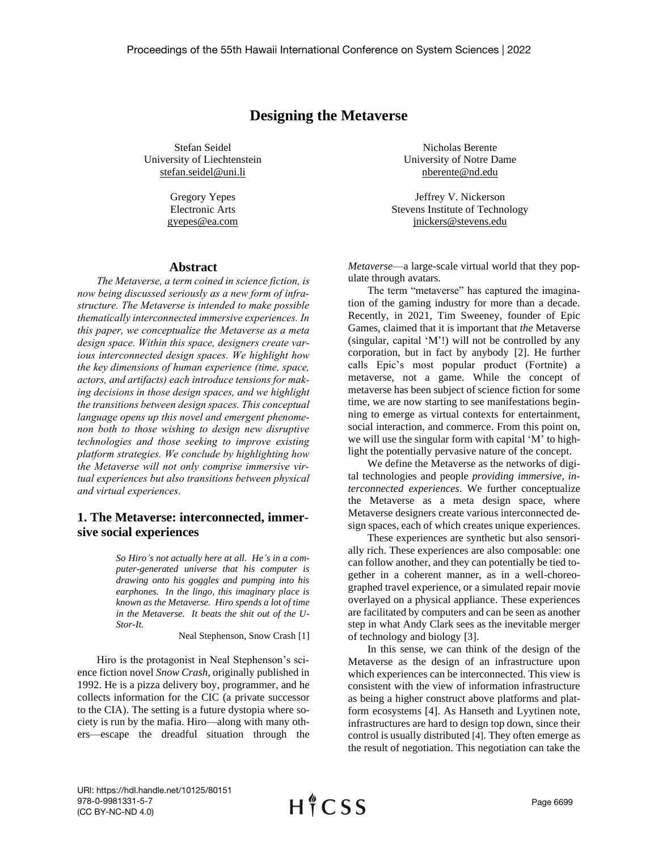# **Designing the Metaverse**

Stefan Seidel University of Liechtenstein stefan.seidel@uni.li

> Gregory Yepes Electronic Arts gyepes@ea.com

### **Abstract**

*The Metaverse, a term coined in science fiction, is now being discussed seriously as a new form of infrastructure. The Metaverse is intended to make possible thematically interconnected immersive experiences. In this paper, we conceptualize the Metaverse as a meta design space. Within this space, designers create various interconnected design spaces. We highlight how the key dimensions of human experience (time, space, actors, and artifacts) each introduce tensions for making decisions in those design spaces, and we highlight the transitions between design spaces. This conceptual language opens up this novel and emergent phenomenon both to those wishing to design new disruptive technologies and those seeking to improve existing platform strategies. We conclude by highlighting how the Metaverse will not only comprise immersive virtual experiences but also transitions between physical and virtual experiences.*

# **1. The Metaverse: interconnected, immersive social experiences**

*So Hiro's not actually here at all. He's in a computer-generated universe that his computer is drawing onto his goggles and pumping into his earphones. In the lingo, this imaginary place is known as the Metaverse. Hiro spends a lot of time in the Metaverse. It beats the shit out of the U-Stor-It.*

Neal Stephenson, Snow Crash [1]

Hiro is the protagonist in Neal Stephenson's science fiction novel *Snow Crash*, originally published in 1992. He is a pizza delivery boy, programmer, and he collects information for the CIC (a private successor to the CIA). The setting is a future dystopia where society is run by the mafia. Hiro—along with many others—escape the dreadful situation through the

Nicholas Berente University of Notre Dame nberente@nd.edu

Jeffrey V. Nickerson Stevens Institute of Technology jnickers@stevens.edu

*Metaverse*—a large-scale virtual world that they populate through avatars.

The term "metaverse" has captured the imagination of the gaming industry for more than a decade. Recently, in 2021, Tim Sweeney, founder of Epic Games, claimed that it is important that *the* Metaverse (singular, capital 'M'!) will not be controlled by any corporation, but in fact by anybody [2]. He further calls Epic's most popular product (Fortnite) a metaverse, not a game. While the concept of metaverse has been subject of science fiction for some time, we are now starting to see manifestations beginning to emerge as virtual contexts for entertainment, social interaction, and commerce. From this point on, we will use the singular form with capital 'M' to highlight the potentially pervasive nature of the concept.

We define the Metaverse as the networks of digital technologies and people *providing immersive, interconnected experiences*. We further conceptualize the Metaverse as a meta design space, where Metaverse designers create various interconnected design spaces, each of which creates unique experiences.

These experiences are synthetic but also sensorially rich. These experiences are also composable: one can follow another, and they can potentially be tied together in a coherent manner, as in a well-choreographed travel experience, or a simulated repair movie overlayed on a physical appliance. These experiences are facilitated by computers and can be seen as another step in what Andy Clark sees as the inevitable merger of technology and biology [3].

In this sense, we can think of the design of the Metaverse as the design of an infrastructure upon which experiences can be interconnected. This view is consistent with the view of information infrastructure as being a higher construct above platforms and platform ecosystems [4]. As Hanseth and Lyytinen note, infrastructures are hard to design top down, since their control is usually distributed [4]. They often emerge as the result of negotiation. This negotiation can take the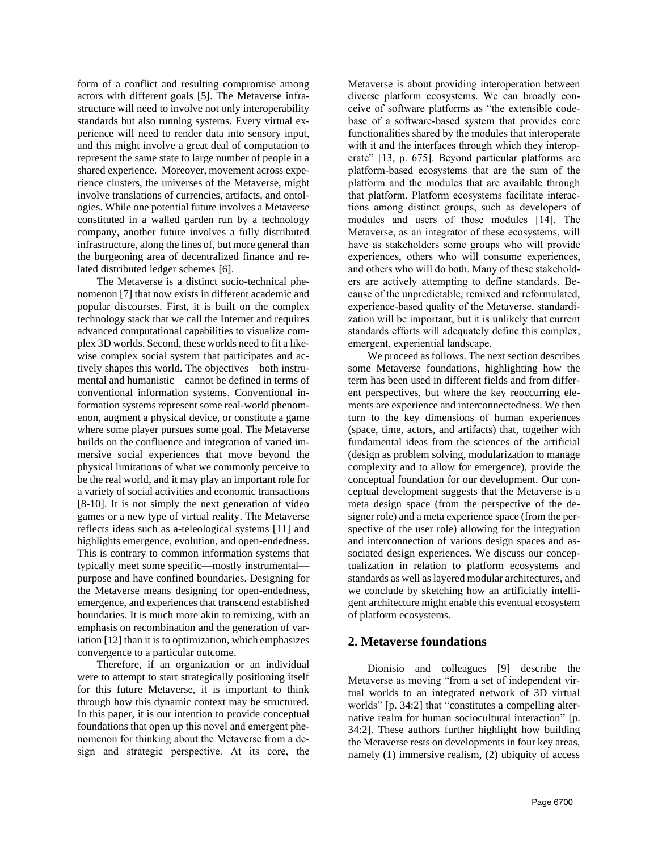form of a conflict and resulting compromise among actors with different goals [5]. The Metaverse infrastructure will need to involve not only interoperability standards but also running systems. Every virtual experience will need to render data into sensory input, and this might involve a great deal of computation to represent the same state to large number of people in a shared experience. Moreover, movement across experience clusters, the universes of the Metaverse, might involve translations of currencies, artifacts, and ontologies. While one potential future involves a Metaverse constituted in a walled garden run by a technology company, another future involves a fully distributed infrastructure, along the lines of, but more general than the burgeoning area of decentralized finance and related distributed ledger schemes [6].

The Metaverse is a distinct socio-technical phenomenon [7] that now exists in different academic and popular discourses. First, it is built on the complex technology stack that we call the Internet and requires advanced computational capabilities to visualize complex 3D worlds. Second, these worlds need to fit a likewise complex social system that participates and actively shapes this world. The objectives—both instrumental and humanistic—cannot be defined in terms of conventional information systems. Conventional information systems represent some real-world phenomenon, augment a physical device, or constitute a game where some player pursues some goal. The Metaverse builds on the confluence and integration of varied immersive social experiences that move beyond the physical limitations of what we commonly perceive to be the real world, and it may play an important role for a variety of social activities and economic transactions [8-10]. It is not simply the next generation of video games or a new type of virtual reality. The Metaverse reflects ideas such as a-teleological systems [11] and highlights emergence, evolution, and open-endedness. This is contrary to common information systems that typically meet some specific—mostly instrumental purpose and have confined boundaries. Designing for the Metaverse means designing for open-endedness, emergence, and experiences that transcend established boundaries. It is much more akin to remixing, with an emphasis on recombination and the generation of variation [12] than it is to optimization, which emphasizes convergence to a particular outcome.

Therefore, if an organization or an individual were to attempt to start strategically positioning itself for this future Metaverse, it is important to think through how this dynamic context may be structured. In this paper, it is our intention to provide conceptual foundations that open up this novel and emergent phenomenon for thinking about the Metaverse from a design and strategic perspective. At its core, the Metaverse is about providing interoperation between diverse platform ecosystems. We can broadly conceive of software platforms as "the extensible codebase of a software-based system that provides core functionalities shared by the modules that interoperate with it and the interfaces through which they interoperate" [13, p. 675]. Beyond particular platforms are platform-based ecosystems that are the sum of the platform and the modules that are available through that platform. Platform ecosystems facilitate interactions among distinct groups, such as developers of modules and users of those modules [14]. The Metaverse, as an integrator of these ecosystems, will have as stakeholders some groups who will provide experiences, others who will consume experiences, and others who will do both. Many of these stakeholders are actively attempting to define standards. Because of the unpredictable, remixed and reformulated, experience-based quality of the Metaverse, standardization will be important, but it is unlikely that current standards efforts will adequately define this complex, emergent, experiential landscape.

We proceed as follows. The next section describes some Metaverse foundations, highlighting how the term has been used in different fields and from different perspectives, but where the key reoccurring elements are experience and interconnectedness. We then turn to the key dimensions of human experiences (space, time, actors, and artifacts) that, together with fundamental ideas from the sciences of the artificial (design as problem solving, modularization to manage complexity and to allow for emergence), provide the conceptual foundation for our development. Our conceptual development suggests that the Metaverse is a meta design space (from the perspective of the designer role) and a meta experience space (from the perspective of the user role) allowing for the integration and interconnection of various design spaces and associated design experiences. We discuss our conceptualization in relation to platform ecosystems and standards as well as layered modular architectures, and we conclude by sketching how an artificially intelligent architecture might enable this eventual ecosystem of platform ecosystems.

# **2. Metaverse foundations**

Dionisio and colleagues [9] describe the Metaverse as moving "from a set of independent virtual worlds to an integrated network of 3D virtual worlds" [p. 34:2] that "constitutes a compelling alternative realm for human sociocultural interaction" [p. 34:2]. These authors further highlight how building the Metaverse rests on developments in four key areas, namely (1) immersive realism, (2) ubiquity of access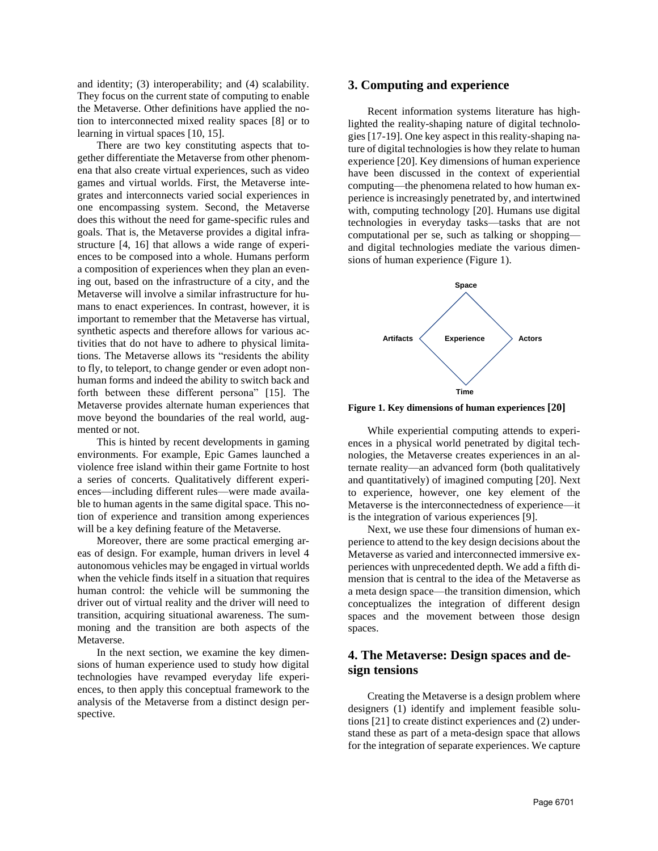and identity; (3) interoperability; and (4) scalability. They focus on the current state of computing to enable the Metaverse. Other definitions have applied the notion to interconnected mixed reality spaces [8] or to learning in virtual spaces [10, 15].

There are two key constituting aspects that together differentiate the Metaverse from other phenomena that also create virtual experiences, such as video games and virtual worlds. First, the Metaverse integrates and interconnects varied social experiences in one encompassing system. Second, the Metaverse does this without the need for game-specific rules and goals. That is, the Metaverse provides a digital infrastructure [4, 16] that allows a wide range of experiences to be composed into a whole. Humans perform a composition of experiences when they plan an evening out, based on the infrastructure of a city, and the Metaverse will involve a similar infrastructure for humans to enact experiences. In contrast, however, it is important to remember that the Metaverse has virtual, synthetic aspects and therefore allows for various activities that do not have to adhere to physical limitations. The Metaverse allows its "residents the ability to fly, to teleport, to change gender or even adopt nonhuman forms and indeed the ability to switch back and forth between these different persona" [15]. The Metaverse provides alternate human experiences that move beyond the boundaries of the real world, augmented or not.

This is hinted by recent developments in gaming environments. For example, Epic Games launched a violence free island within their game Fortnite to host a series of concerts. Qualitatively different experiences—including different rules—were made available to human agents in the same digital space. This notion of experience and transition among experiences will be a key defining feature of the Metaverse.

Moreover, there are some practical emerging areas of design. For example, human drivers in level 4 autonomous vehicles may be engaged in virtual worlds when the vehicle finds itself in a situation that requires human control: the vehicle will be summoning the driver out of virtual reality and the driver will need to transition, acquiring situational awareness. The summoning and the transition are both aspects of the Metaverse.

In the next section, we examine the key dimensions of human experience used to study how digital technologies have revamped everyday life experiences, to then apply this conceptual framework to the analysis of the Metaverse from a distinct design perspective.

## **3. Computing and experience**

Recent information systems literature has highlighted the reality-shaping nature of digital technologies [17-19]. One key aspect in this reality-shaping nature of digital technologies is how they relate to human experience [20]. Key dimensions of human experience have been discussed in the context of experiential computing—the phenomena related to how human experience is increasingly penetrated by, and intertwined with, computing technology [20]. Humans use digital technologies in everyday tasks—tasks that are not computational per se, such as talking or shopping and digital technologies mediate the various dimensions of human experience (Figure 1).



**Figure 1. Key dimensions of human experiences [20]**

While experiential computing attends to experiences in a physical world penetrated by digital technologies, the Metaverse creates experiences in an alternate reality—an advanced form (both qualitatively and quantitatively) of imagined computing [20]. Next to experience, however, one key element of the Metaverse is the interconnectedness of experience—it is the integration of various experiences [9].

Next, we use these four dimensions of human experience to attend to the key design decisions about the Metaverse as varied and interconnected immersive experiences with unprecedented depth. We add a fifth dimension that is central to the idea of the Metaverse as a meta design space—the transition dimension, which conceptualizes the integration of different design spaces and the movement between those design spaces.

# **4. The Metaverse: Design spaces and design tensions**

Creating the Metaverse is a design problem where designers (1) identify and implement feasible solutions [21] to create distinct experiences and (2) understand these as part of a meta-design space that allows for the integration of separate experiences. We capture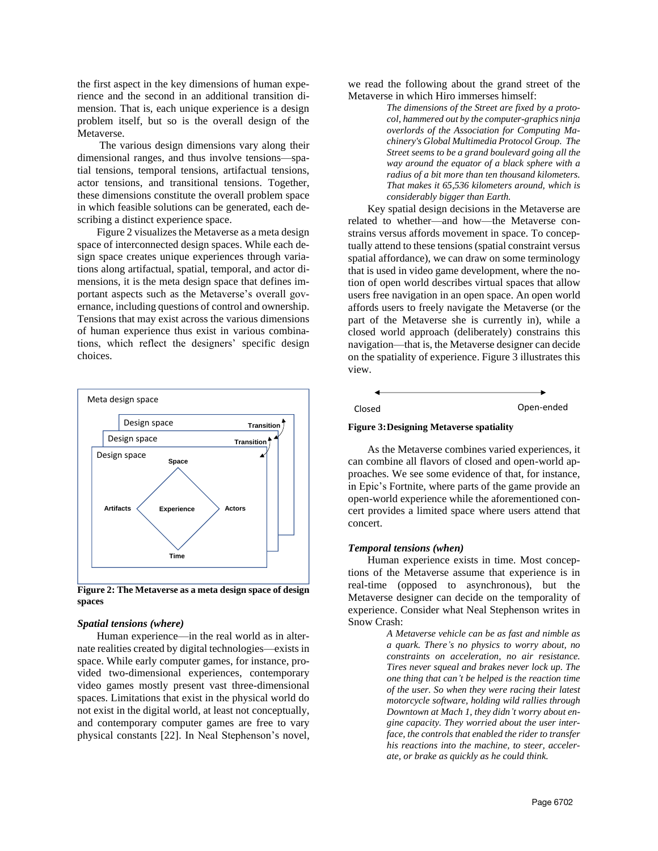the first aspect in the key dimensions of human experience and the second in an additional transition dimension. That is, each unique experience is a design problem itself, but so is the overall design of the Metaverse.

The various design dimensions vary along their dimensional ranges, and thus involve tensions—spatial tensions, temporal tensions, artifactual tensions, actor tensions, and transitional tensions. Together, these dimensions constitute the overall problem space in which feasible solutions can be generated, each describing a distinct experience space.

Figure 2 visualizes the Metaverse as a meta design space of interconnected design spaces. While each design space creates unique experiences through variations along artifactual, spatial, temporal, and actor dimensions, it is the meta design space that defines important aspects such as the Metaverse's overall governance, including questions of control and ownership. Tensions that may exist across the various dimensions of human experience thus exist in various combinations, which reflect the designers' specific design choices.



**Figure 2: The Metaverse as a meta design space of design spaces**

#### *Spatial tensions (where)*

Human experience—in the real world as in alternate realities created by digital technologies—exists in space. While early computer games, for instance, provided two-dimensional experiences, contemporary video games mostly present vast three-dimensional spaces. Limitations that exist in the physical world do not exist in the digital world, at least not conceptually, and contemporary computer games are free to vary physical constants [22]. In Neal Stephenson's novel, we read the following about the grand street of the Metaverse in which Hiro immerses himself:

> *The dimensions of the Street are fixed by a protocol, hammered out by the computer-graphics ninja overlords of the Association for Computing Machinery's Global Multimedia Protocol Group. The Street seems to be a grand boulevard going all the way around the equator of a black sphere with a radius of a bit more than ten thousand kilometers. That makes it 65,536 kilometers around, which is considerably bigger than Earth.*

Key spatial design decisions in the Metaverse are related to whether—and how—the Metaverse constrains versus affords movement in space. To conceptually attend to these tensions (spatial constraint versus spatial affordance), we can draw on some terminology that is used in video game development, where the notion of open world describes virtual spaces that allow users free navigation in an open space. An open world affords users to freely navigate the Metaverse (or the part of the Metaverse she is currently in), while a closed world approach (deliberately) constrains this navigation—that is, the Metaverse designer can decide on the spatiality of experience. Figure 3 illustrates this view.

#### **Figure 3:Designing Metaverse spatiality**

As the Metaverse combines varied experiences, it can combine all flavors of closed and open-world approaches. We see some evidence of that, for instance, in Epic's Fortnite, where parts of the game provide an open-world experience while the aforementioned concert provides a limited space where users attend that concert.

#### *Temporal tensions (when)*

Human experience exists in time. Most conceptions of the Metaverse assume that experience is in real-time (opposed to asynchronous), but the Metaverse designer can decide on the temporality of experience. Consider what Neal Stephenson writes in Snow Crash:

> *A Metaverse vehicle can be as fast and nimble as a quark. There's no physics to worry about, no constraints on acceleration, no air resistance. Tires never squeal and brakes never lock up. The one thing that can't be helped is the reaction time of the user. So when they were racing their latest motorcycle software, holding wild rallies through Downtown at Mach 1, they didn't worry about engine capacity. They worried about the user interface, the controls that enabled the rider to transfer his reactions into the machine, to steer, accelerate, or brake as quickly as he could think.*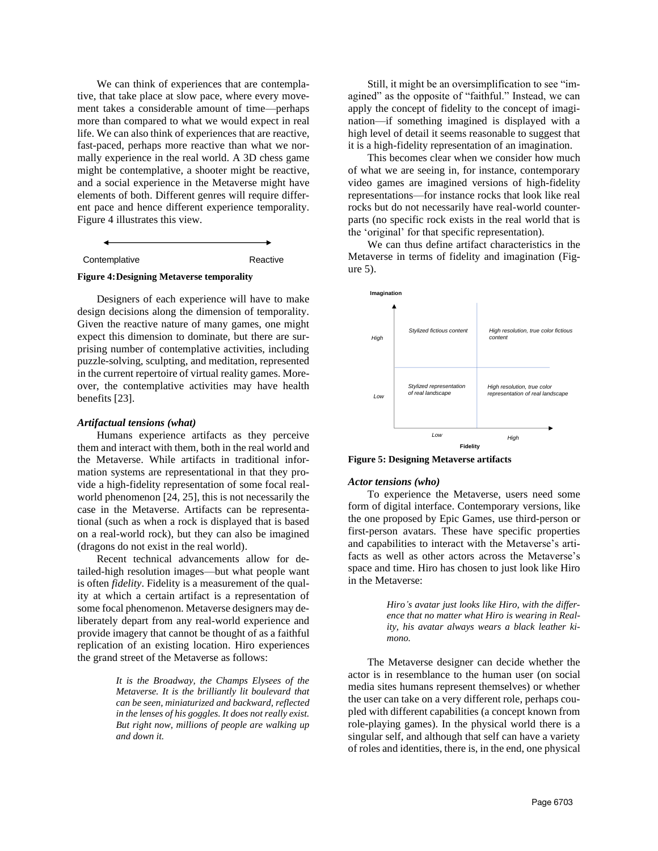We can think of experiences that are contemplative, that take place at slow pace, where every movement takes a considerable amount of time—perhaps more than compared to what we would expect in real life. We can also think of experiences that are reactive, fast-paced, perhaps more reactive than what we normally experience in the real world. A 3D chess game might be contemplative, a shooter might be reactive, and a social experience in the Metaverse might have elements of both. Different genres will require different pace and hence different experience temporality. Figure 4 illustrates this view.

Contemplative Reactive

#### **Figure 4:Designing Metaverse temporality**

Designers of each experience will have to make design decisions along the dimension of temporality. Given the reactive nature of many games, one might expect this dimension to dominate, but there are surprising number of contemplative activities, including puzzle-solving, sculpting, and meditation, represented in the current repertoire of virtual reality games. Moreover, the contemplative activities may have health benefits [23].

#### *Artifactual tensions (what)*

Humans experience artifacts as they perceive them and interact with them, both in the real world and the Metaverse. While artifacts in traditional information systems are representational in that they provide a high-fidelity representation of some focal realworld phenomenon [24, 25], this is not necessarily the case in the Metaverse. Artifacts can be representational (such as when a rock is displayed that is based on a real-world rock), but they can also be imagined (dragons do not exist in the real world).

Recent technical advancements allow for detailed-high resolution images—but what people want is often *fidelity*. Fidelity is a measurement of the quality at which a certain artifact is a representation of some focal phenomenon. Metaverse designers may deliberately depart from any real-world experience and provide imagery that cannot be thought of as a faithful replication of an existing location. Hiro experiences the grand street of the Metaverse as follows:

> *It is the Broadway, the Champs Elysees of the Metaverse. It is the brilliantly lit boulevard that can be seen, miniaturized and backward, reflected in the lenses of his goggles. It does not really exist. But right now, millions of people are walking up and down it.*

Still, it might be an oversimplification to see "imagined" as the opposite of "faithful." Instead, we can apply the concept of fidelity to the concept of imagination—if something imagined is displayed with a high level of detail it seems reasonable to suggest that it is a high-fidelity representation of an imagination.

This becomes clear when we consider how much of what we are seeing in, for instance, contemporary video games are imagined versions of high-fidelity representations—for instance rocks that look like real rocks but do not necessarily have real-world counterparts (no specific rock exists in the real world that is the 'original' for that specific representation).

We can thus define artifact characteristics in the Metaverse in terms of fidelity and imagination (Figure 5).



**Figure 5: Designing Metaverse artifacts**

#### *Actor tensions (who)*

To experience the Metaverse, users need some form of digital interface. Contemporary versions, like the one proposed by Epic Games, use third-person or first-person avatars. These have specific properties and capabilities to interact with the Metaverse's artifacts as well as other actors across the Metaverse's space and time. Hiro has chosen to just look like Hiro in the Metaverse:

> *Hiro's avatar just looks like Hiro, with the difference that no matter what Hiro is wearing in Reality, his avatar always wears a black leather kimono.*

The Metaverse designer can decide whether the actor is in resemblance to the human user (on social media sites humans represent themselves) or whether the user can take on a very different role, perhaps coupled with different capabilities (a concept known from role-playing games). In the physical world there is a singular self, and although that self can have a variety of roles and identities, there is, in the end, one physical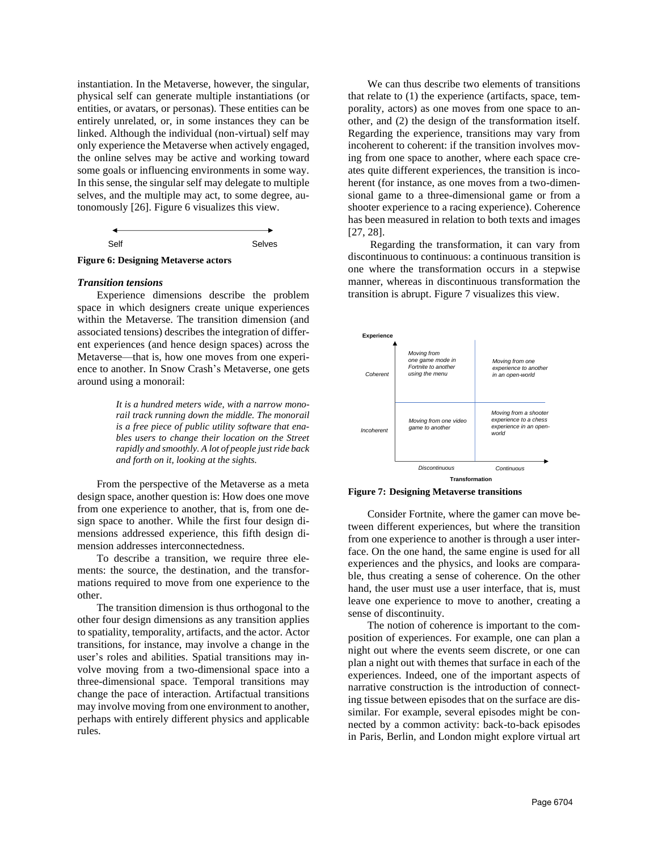instantiation. In the Metaverse, however, the singular, physical self can generate multiple instantiations (or entities, or avatars, or personas). These entities can be entirely unrelated, or, in some instances they can be linked. Although the individual (non-virtual) self may only experience the Metaverse when actively engaged, the online selves may be active and working toward some goals or influencing environments in some way. In this sense, the singular self may delegate to multiple selves, and the multiple may act, to some degree, autonomously [26]. Figure 6 visualizes this view.

| S <sub>fl</sub> | Selves |
|-----------------|--------|



#### *Transition tensions*

Experience dimensions describe the problem space in which designers create unique experiences within the Metaverse. The transition dimension (and associated tensions) describes the integration of different experiences (and hence design spaces) across the Metaverse—that is, how one moves from one experience to another. In Snow Crash's Metaverse, one gets around using a monorail:

> *It is a hundred meters wide, with a narrow monorail track running down the middle. The monorail is a free piece of public utility software that enables users to change their location on the Street rapidly and smoothly. A lot of people just ride back and forth on it, looking at the sights.*

From the perspective of the Metaverse as a meta design space, another question is: How does one move from one experience to another, that is, from one design space to another. While the first four design dimensions addressed experience, this fifth design dimension addresses interconnectedness.

To describe a transition, we require three elements: the source, the destination, and the transformations required to move from one experience to the other.

The transition dimension is thus orthogonal to the other four design dimensions as any transition applies to spatiality, temporality, artifacts, and the actor. Actor transitions, for instance, may involve a change in the user's roles and abilities. Spatial transitions may involve moving from a two-dimensional space into a three-dimensional space. Temporal transitions may change the pace of interaction. Artifactual transitions may involve moving from one environment to another, perhaps with entirely different physics and applicable rules.

We can thus describe two elements of transitions that relate to (1) the experience (artifacts, space, temporality, actors) as one moves from one space to another, and (2) the design of the transformation itself. Regarding the experience, transitions may vary from incoherent to coherent: if the transition involves moving from one space to another, where each space creates quite different experiences, the transition is incoherent (for instance, as one moves from a two-dimensional game to a three-dimensional game or from a shooter experience to a racing experience). Coherence has been measured in relation to both texts and images [27, 28].

Regarding the transformation, it can vary from discontinuous to continuous: a continuous transition is one where the transformation occurs in a stepwise manner, whereas in discontinuous transformation the transition is abrupt. Figure 7 visualizes this view.



**Figure 7: Designing Metaverse transitions**

Consider Fortnite, where the gamer can move between different experiences, but where the transition from one experience to another is through a user interface. On the one hand, the same engine is used for all experiences and the physics, and looks are comparable, thus creating a sense of coherence. On the other hand, the user must use a user interface, that is, must leave one experience to move to another, creating a sense of discontinuity.

The notion of coherence is important to the composition of experiences. For example, one can plan a night out where the events seem discrete, or one can plan a night out with themes that surface in each of the experiences. Indeed, one of the important aspects of narrative construction is the introduction of connecting tissue between episodes that on the surface are dissimilar. For example, several episodes might be connected by a common activity: back-to-back episodes in Paris, Berlin, and London might explore virtual art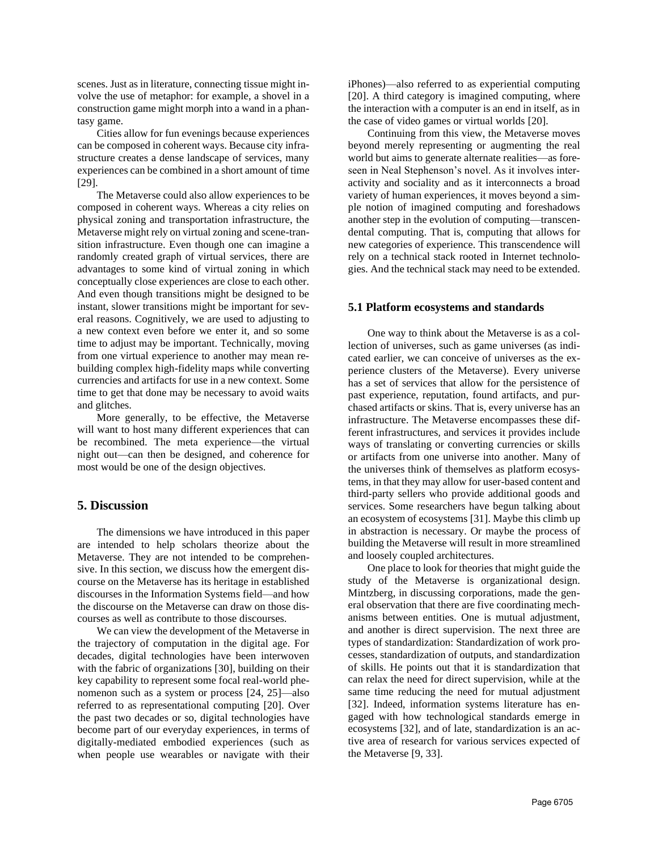scenes. Just as in literature, connecting tissue might involve the use of metaphor: for example, a shovel in a construction game might morph into a wand in a phantasy game.

Cities allow for fun evenings because experiences can be composed in coherent ways. Because city infrastructure creates a dense landscape of services, many experiences can be combined in a short amount of time [29].

The Metaverse could also allow experiences to be composed in coherent ways. Whereas a city relies on physical zoning and transportation infrastructure, the Metaverse might rely on virtual zoning and scene-transition infrastructure. Even though one can imagine a randomly created graph of virtual services, there are advantages to some kind of virtual zoning in which conceptually close experiences are close to each other. And even though transitions might be designed to be instant, slower transitions might be important for several reasons. Cognitively, we are used to adjusting to a new context even before we enter it, and so some time to adjust may be important. Technically, moving from one virtual experience to another may mean rebuilding complex high-fidelity maps while converting currencies and artifacts for use in a new context. Some time to get that done may be necessary to avoid waits and glitches.

More generally, to be effective, the Metaverse will want to host many different experiences that can be recombined. The meta experience—the virtual night out—can then be designed, and coherence for most would be one of the design objectives.

# **5. Discussion**

The dimensions we have introduced in this paper are intended to help scholars theorize about the Metaverse. They are not intended to be comprehensive. In this section, we discuss how the emergent discourse on the Metaverse has its heritage in established discourses in the Information Systems field—and how the discourse on the Metaverse can draw on those discourses as well as contribute to those discourses.

We can view the development of the Metaverse in the trajectory of computation in the digital age. For decades, digital technologies have been interwoven with the fabric of organizations [30], building on their key capability to represent some focal real-world phenomenon such as a system or process [24, 25]—also referred to as representational computing [20]. Over the past two decades or so, digital technologies have become part of our everyday experiences, in terms of digitally-mediated embodied experiences (such as when people use wearables or navigate with their iPhones)—also referred to as experiential computing [20]. A third category is imagined computing, where the interaction with a computer is an end in itself, as in the case of video games or virtual worlds [20].

Continuing from this view, the Metaverse moves beyond merely representing or augmenting the real world but aims to generate alternate realities—as foreseen in Neal Stephenson's novel. As it involves interactivity and sociality and as it interconnects a broad variety of human experiences, it moves beyond a simple notion of imagined computing and foreshadows another step in the evolution of computing—transcendental computing. That is, computing that allows for new categories of experience. This transcendence will rely on a technical stack rooted in Internet technologies. And the technical stack may need to be extended.

### **5.1 Platform ecosystems and standards**

One way to think about the Metaverse is as a collection of universes, such as game universes (as indicated earlier, we can conceive of universes as the experience clusters of the Metaverse). Every universe has a set of services that allow for the persistence of past experience, reputation, found artifacts, and purchased artifacts or skins. That is, every universe has an infrastructure. The Metaverse encompasses these different infrastructures, and services it provides include ways of translating or converting currencies or skills or artifacts from one universe into another. Many of the universes think of themselves as platform ecosystems, in that they may allow for user-based content and third-party sellers who provide additional goods and services. Some researchers have begun talking about an ecosystem of ecosystems [31]. Maybe this climb up in abstraction is necessary. Or maybe the process of building the Metaverse will result in more streamlined and loosely coupled architectures.

One place to look for theories that might guide the study of the Metaverse is organizational design. Mintzberg, in discussing corporations, made the general observation that there are five coordinating mechanisms between entities. One is mutual adjustment, and another is direct supervision. The next three are types of standardization: Standardization of work processes, standardization of outputs, and standardization of skills. He points out that it is standardization that can relax the need for direct supervision, while at the same time reducing the need for mutual adjustment [32]. Indeed, information systems literature has engaged with how technological standards emerge in ecosystems [32], and of late, standardization is an active area of research for various services expected of the Metaverse [9, 33].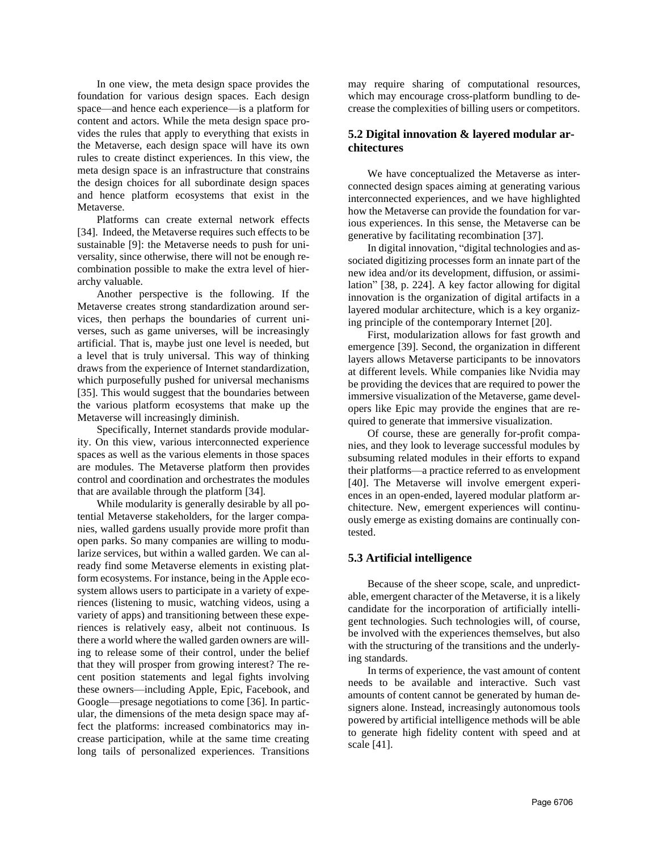In one view, the meta design space provides the foundation for various design spaces. Each design space—and hence each experience—is a platform for content and actors. While the meta design space provides the rules that apply to everything that exists in the Metaverse, each design space will have its own rules to create distinct experiences. In this view, the meta design space is an infrastructure that constrains the design choices for all subordinate design spaces and hence platform ecosystems that exist in the Metaverse.

Platforms can create external network effects [34]. Indeed, the Metaverse requires such effects to be sustainable [9]: the Metaverse needs to push for universality, since otherwise, there will not be enough recombination possible to make the extra level of hierarchy valuable.

Another perspective is the following. If the Metaverse creates strong standardization around services, then perhaps the boundaries of current universes, such as game universes, will be increasingly artificial. That is, maybe just one level is needed, but a level that is truly universal. This way of thinking draws from the experience of Internet standardization, which purposefully pushed for universal mechanisms [35]. This would suggest that the boundaries between the various platform ecosystems that make up the Metaverse will increasingly diminish.

Specifically, Internet standards provide modularity. On this view, various interconnected experience spaces as well as the various elements in those spaces are modules. The Metaverse platform then provides control and coordination and orchestrates the modules that are available through the platform [34].

While modularity is generally desirable by all potential Metaverse stakeholders, for the larger companies, walled gardens usually provide more profit than open parks. So many companies are willing to modularize services, but within a walled garden. We can already find some Metaverse elements in existing platform ecosystems. For instance, being in the Apple ecosystem allows users to participate in a variety of experiences (listening to music, watching videos, using a variety of apps) and transitioning between these experiences is relatively easy, albeit not continuous. Is there a world where the walled garden owners are willing to release some of their control, under the belief that they will prosper from growing interest? The recent position statements and legal fights involving these owners—including Apple, Epic, Facebook, and Google—presage negotiations to come [36]. In particular, the dimensions of the meta design space may affect the platforms: increased combinatorics may increase participation, while at the same time creating long tails of personalized experiences. Transitions may require sharing of computational resources, which may encourage cross-platform bundling to decrease the complexities of billing users or competitors.

## **5.2 Digital innovation & layered modular architectures**

We have conceptualized the Metaverse as interconnected design spaces aiming at generating various interconnected experiences, and we have highlighted how the Metaverse can provide the foundation for various experiences. In this sense, the Metaverse can be generative by facilitating recombination [37].

In digital innovation, "digital technologies and associated digitizing processes form an innate part of the new idea and/or its development, diffusion, or assimilation" [38, p. 224]. A key factor allowing for digital innovation is the organization of digital artifacts in a layered modular architecture, which is a key organizing principle of the contemporary Internet [20].

First, modularization allows for fast growth and emergence [39]. Second, the organization in different layers allows Metaverse participants to be innovators at different levels. While companies like Nvidia may be providing the devices that are required to power the immersive visualization of the Metaverse, game developers like Epic may provide the engines that are required to generate that immersive visualization.

Of course, these are generally for-profit companies, and they look to leverage successful modules by subsuming related modules in their efforts to expand their platforms—a practice referred to as envelopment [40]. The Metaverse will involve emergent experiences in an open-ended, layered modular platform architecture. New, emergent experiences will continuously emerge as existing domains are continually contested.

## **5.3 Artificial intelligence**

Because of the sheer scope, scale, and unpredictable, emergent character of the Metaverse, it is a likely candidate for the incorporation of artificially intelligent technologies. Such technologies will, of course, be involved with the experiences themselves, but also with the structuring of the transitions and the underlying standards.

In terms of experience, the vast amount of content needs to be available and interactive. Such vast amounts of content cannot be generated by human designers alone. Instead, increasingly autonomous tools powered by artificial intelligence methods will be able to generate high fidelity content with speed and at scale [41].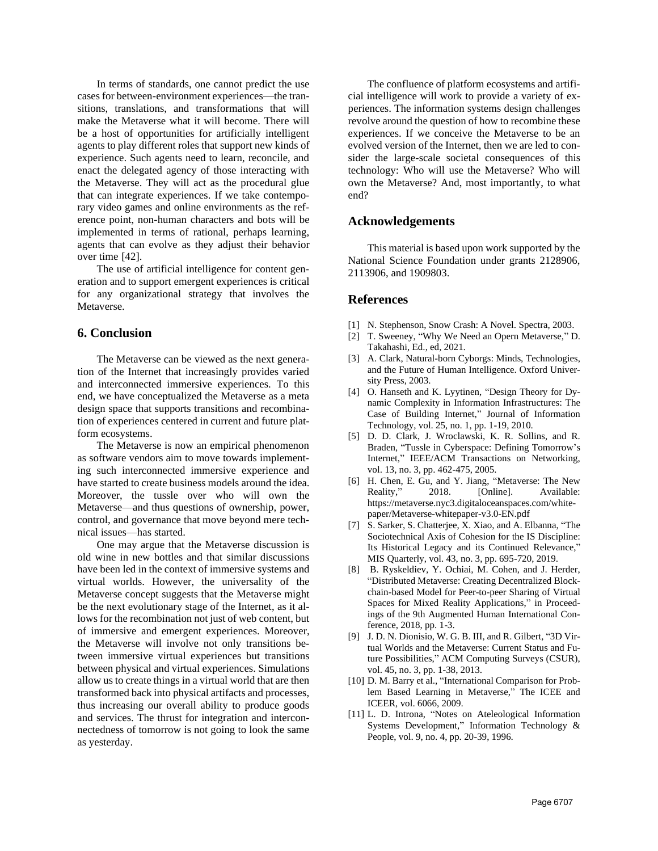In terms of standards, one cannot predict the use cases for between-environment experiences—the transitions, translations, and transformations that will make the Metaverse what it will become. There will be a host of opportunities for artificially intelligent agents to play different roles that support new kinds of experience. Such agents need to learn, reconcile, and enact the delegated agency of those interacting with the Metaverse. They will act as the procedural glue that can integrate experiences. If we take contemporary video games and online environments as the reference point, non-human characters and bots will be implemented in terms of rational, perhaps learning, agents that can evolve as they adjust their behavior over time [42].

The use of artificial intelligence for content generation and to support emergent experiences is critical for any organizational strategy that involves the Metaverse.

### **6. Conclusion**

The Metaverse can be viewed as the next generation of the Internet that increasingly provides varied and interconnected immersive experiences. To this end, we have conceptualized the Metaverse as a meta design space that supports transitions and recombination of experiences centered in current and future platform ecosystems.

The Metaverse is now an empirical phenomenon as software vendors aim to move towards implementing such interconnected immersive experience and have started to create business models around the idea. Moreover, the tussle over who will own the Metaverse—and thus questions of ownership, power, control, and governance that move beyond mere technical issues—has started.

One may argue that the Metaverse discussion is old wine in new bottles and that similar discussions have been led in the context of immersive systems and virtual worlds. However, the universality of the Metaverse concept suggests that the Metaverse might be the next evolutionary stage of the Internet, as it allows for the recombination not just of web content, but of immersive and emergent experiences. Moreover, the Metaverse will involve not only transitions between immersive virtual experiences but transitions between physical and virtual experiences. Simulations allow us to create things in a virtual world that are then transformed back into physical artifacts and processes, thus increasing our overall ability to produce goods and services. The thrust for integration and interconnectedness of tomorrow is not going to look the same as yesterday.

The confluence of platform ecosystems and artificial intelligence will work to provide a variety of experiences. The information systems design challenges revolve around the question of how to recombine these experiences. If we conceive the Metaverse to be an evolved version of the Internet, then we are led to consider the large-scale societal consequences of this technology: Who will use the Metaverse? Who will own the Metaverse? And, most importantly, to what end?

## **Acknowledgements**

This material is based upon work supported by the National Science Foundation under grants 2128906, 2113906, and 1909803.

## **References**

- [1] N. Stephenson, Snow Crash: A Novel. Spectra, 2003.
- [2] T. Sweeney, "Why We Need an Opern Metaverse," D. Takahashi, Ed., ed, 2021.
- [3] A. Clark, Natural-born Cyborgs: Minds, Technologies, and the Future of Human Intelligence. Oxford University Press, 2003.
- [4] O. Hanseth and K. Lyytinen, "Design Theory for Dynamic Complexity in Information Infrastructures: The Case of Building Internet," Journal of Information Technology, vol. 25, no. 1, pp. 1-19, 2010.
- [5] D. D. Clark, J. Wroclawski, K. R. Sollins, and R. Braden, "Tussle in Cyberspace: Defining Tomorrow's Internet," IEEE/ACM Transactions on Networking, vol. 13, no. 3, pp. 462-475, 2005.
- [6] H. Chen, E. Gu, and Y. Jiang, "Metaverse: The New Reality," 2018. [Online]. Available: https://metaverse.nyc3.digitaloceanspaces.com/whitepaper/Metaverse-whitepaper-v3.0-EN.pdf
- [7] S. Sarker, S. Chatterjee, X. Xiao, and A. Elbanna, "The Sociotechnical Axis of Cohesion for the IS Discipline: Its Historical Legacy and its Continued Relevance," MIS Quarterly, vol. 43, no. 3, pp. 695-720, 2019.
- [8] B. Ryskeldiev, Y. Ochiai, M. Cohen, and J. Herder, "Distributed Metaverse: Creating Decentralized Blockchain-based Model for Peer-to-peer Sharing of Virtual Spaces for Mixed Reality Applications," in Proceedings of the 9th Augmented Human International Conference, 2018, pp. 1-3.
- [9] J. D. N. Dionisio, W. G. B. III, and R. Gilbert, "3D Virtual Worlds and the Metaverse: Current Status and Future Possibilities," ACM Computing Surveys (CSUR), vol. 45, no. 3, pp. 1-38, 2013.
- [10] D. M. Barry et al., "International Comparison for Problem Based Learning in Metaverse," The ICEE and ICEER, vol. 6066, 2009.
- [11] L. D. Introna, "Notes on Ateleological Information Systems Development," Information Technology & People, vol. 9, no. 4, pp. 20-39, 1996.